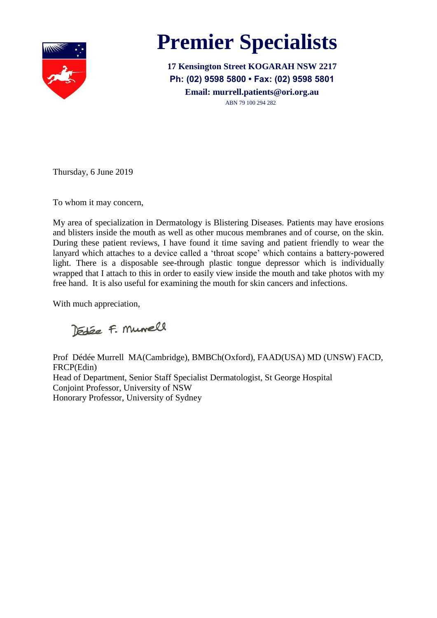

# **Premier Specialists**

**17 Kensington Street KOGARAH NSW 2217 Ph: (02) 9598 5800 • Fax: (02) 9598 5801 Email: murrell.patients@ori.org.au** ABN 79 100 294 282

Thursday, 6 June 2019

To whom it may concern,

My area of specialization in Dermatology is Blistering Diseases. Patients may have erosions and blisters inside the mouth as well as other mucous membranes and of course, on the skin. During these patient reviews, I have found it time saving and patient friendly to wear the lanyard which attaches to a device called a 'throat scope' which contains a battery-powered light. There is a disposable see-through plastic tongue depressor which is individually wrapped that I attach to this in order to easily view inside the mouth and take photos with my free hand. It is also useful for examining the mouth for skin cancers and infections.

With much appreciation,

Dédée F. Murell

Prof Dédée Murrell MA(Cambridge), BMBCh(Oxford), FAAD(USA) MD (UNSW) FACD, FRCP(Edin) Head of Department, Senior Staff Specialist Dermatologist, St George Hospital Conjoint Professor, University of NSW Honorary Professor, University of Sydney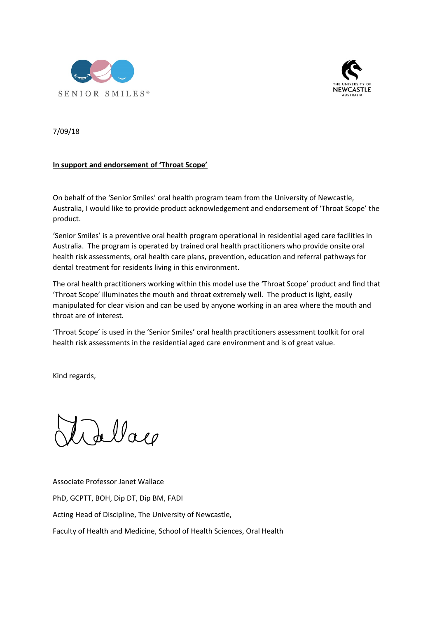



7/09/18

### **In support and endorsement of 'Throat Scope'**

On behalf of the 'Senior Smiles' oral health program team from the University of Newcastle, Australia, I would like to provide product acknowledgement and endorsement of 'Throat Scope' the product.

'Senior Smiles' is a preventive oral health program operational in residential aged care facilities in Australia. The program is operated by trained oral health practitioners who provide onsite oral health risk assessments, oral health care plans, prevention, education and referral pathways for dental treatment for residents living in this environment.

The oral health practitioners working within this model use the 'Throat Scope' product and find that 'Throat Scope' illuminates the mouth and throat extremely well. The product is light, easily manipulated for clear vision and can be used by anyone working in an area where the mouth and throat are of interest.

'Throat Scope' is used in the 'Senior Smiles' oral health practitioners assessment toolkit for oral health risk assessments in the residential aged care environment and is of great value.

Kind regards,

Jellaco

Associate Professor Janet Wallace PhD, GCPTT, BOH, Dip DT, Dip BM, FADI Acting Head of Discipline, The University of Newcastle, Faculty of Health and Medicine, School of Health Sciences, Oral Health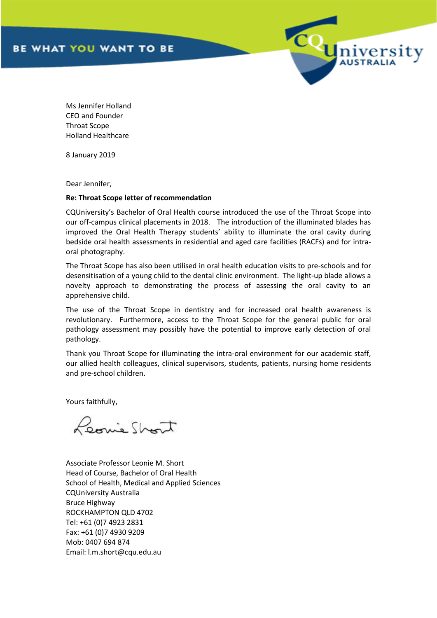

Ms Jennifer Holland CEO and Founder Throat Scope Holland Healthcare

8 January 2019

Dear Jennifer,

#### **Re: Throat Scope letter of recommendation**

CQUniversity's Bachelor of Oral Health course introduced the use of the Throat Scope into our off-campus clinical placements in 2018. The introduction of the illuminated blades has improved the Oral Health Therapy students' ability to illuminate the oral cavity during bedside oral health assessments in residential and aged care facilities (RACFs) and for intraoral photography.

The Throat Scope has also been utilised in oral health education visits to pre-schools and for desensitisation of a young child to the dental clinic environment. The light-up blade allows a novelty approach to demonstrating the process of assessing the oral cavity to an apprehensive child.

The use of the Throat Scope in dentistry and for increased oral health awareness is revolutionary. Furthermore, access to the Throat Scope for the general public for oral pathology assessment may possibly have the potential to improve early detection of oral pathology.

Thank you Throat Scope for illuminating the intra-oral environment for our academic staff, our allied health colleagues, clinical supervisors, students, patients, nursing home residents and pre-school children.

Yours faithfully,

Leonie Short

Associate Professor Leonie M. Short Head of Course, Bachelor of Oral Health School of Health, Medical and Applied Sciences CQUniversity Australia Bruce Highway ROCKHAMPTON QLD 4702 Tel: +61 (0)7 4923 2831 Fax: +61 (0)7 4930 9209 Mob: 0407 694 874 Email: [l.m.short@cqu.edu.au](mailto:l.m.short@cqu.edu.au)